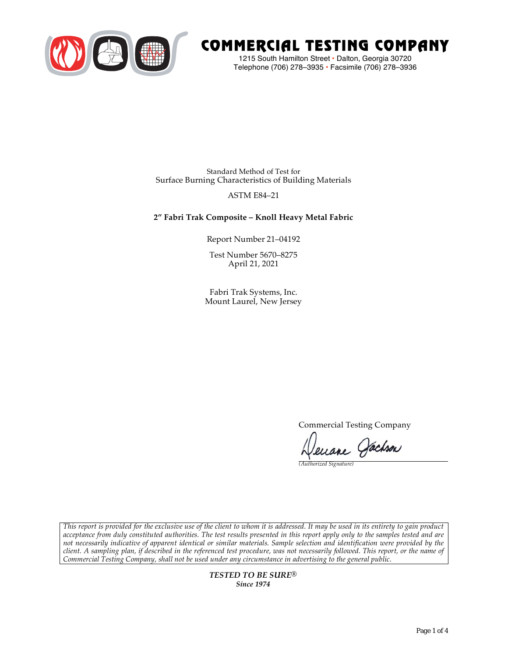

# COMMERCIAL TESTING COMPANY

1215 South Hamilton Street • Dalton, Georgia 30720 Telephone (706) 278–3935 **•** Facsimile (706) 278–3936

Standard Method of Test for Surface Burning Characteristics of Building Materials

# ASTM E84–21

## **2" Fabri Trak Composite – Knoll Heavy Metal Fabric**

Report Number 21–04192

Test Number 5670–8275 April 21, 2021

Fabri Trak Systems, Inc. Mount Laurel, New Jersey

Commercial Testing Company

euane Jachson

*(Authorized Signature)* 

*This report is provided for the exclusive use of the client to whom it is addressed. It may be used in its entirety to gain product acceptance from duly constituted authorities. The test results presented in this report apply only to the samples tested and are not necessarily indicative of apparent identical or similar materials. Sample selection and identification were provided by the client. A sampling plan, if described in the referenced test procedure, was not necessarily followed. This report, or the name of Commercial Testing Company, shall not be used under any circumstance in advertising to the general public.* 

> *TESTED TO BE SURE® Since 1974*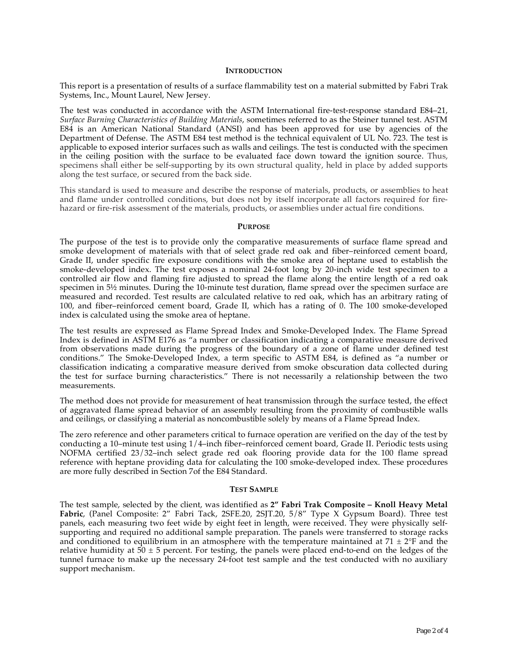## **INTRODUCTION**

This report is a presentation of results of a surface flammability test on a material submitted by Fabri Trak Systems, Inc., Mount Laurel, New Jersey.

The test was conducted in accordance with the ASTM International fire-test-response standard E84–21, *Surface Burning Characteristics of Building Materials*, sometimes referred to as the Steiner tunnel test. ASTM E84 is an American National Standard (ANSI) and has been approved for use by agencies of the Department of Defense. The ASTM E84 test method is the technical equivalent of UL No. 723. The test is applicable to exposed interior surfaces such as walls and ceilings. The test is conducted with the specimen in the ceiling position with the surface to be evaluated face down toward the ignition source. Thus, specimens shall either be self-supporting by its own structural quality, held in place by added supports along the test surface, or secured from the back side.

This standard is used to measure and describe the response of materials, products, or assemblies to heat and flame under controlled conditions, but does not by itself incorporate all factors required for firehazard or fire-risk assessment of the materials, products, or assemblies under actual fire conditions.

#### **PURPOSE**

The purpose of the test is to provide only the comparative measurements of surface flame spread and smoke development of materials with that of select grade red oak and fiber–reinforced cement board, Grade II, under specific fire exposure conditions with the smoke area of heptane used to establish the smoke-developed index. The test exposes a nominal 24-foot long by 20-inch wide test specimen to a controlled air flow and flaming fire adjusted to spread the flame along the entire length of a red oak specimen in  $5\frac{1}{2}$  minutes. During the 10-minute test duration, flame spread over the specimen surface are measured and recorded. Test results are calculated relative to red oak, which has an arbitrary rating of 100, and fiber–reinforced cement board, Grade II, which has a rating of 0. The 100 smoke-developed index is calculated using the smoke area of heptane.

The test results are expressed as Flame Spread Index and Smoke-Developed Index. The Flame Spread Index is defined in ASTM E176 as "a number or classification indicating a comparative measure derived from observations made during the progress of the boundary of a zone of flame under defined test conditions." The Smoke-Developed Index, a term specific to ASTM E84, is defined as "a number or classification indicating a comparative measure derived from smoke obscuration data collected during the test for surface burning characteristics." There is not necessarily a relationship between the two measurements.

The method does not provide for measurement of heat transmission through the surface tested, the effect of aggravated flame spread behavior of an assembly resulting from the proximity of combustible walls and ceilings, or classifying a material as noncombustible solely by means of a Flame Spread Index.

The zero reference and other parameters critical to furnace operation are verified on the day of the test by conducting a 10–minute test using 1/4–inch fiber–reinforced cement board, Grade II. Periodic tests using NOFMA certified 23/32–inch select grade red oak flooring provide data for the 100 flame spread reference with heptane providing data for calculating the 100 smoke-developed index. These procedures are more fully described in Section 7of the E84 Standard.

#### **TEST SAMPLE**

The test sample, selected by the client, was identified as **2" Fabri Trak Composite – Knoll Heavy Metal Fabric**, (Panel Composite: 2" Fabri Tack, 2SFE.20, 2SJT.20, 5/8" Type X Gypsum Board). Three test panels, each measuring two feet wide by eight feet in length, were received. They were physically selfsupporting and required no additional sample preparation. The panels were transferred to storage racks and conditioned to equilibrium in an atmosphere with the temperature maintained at  $71 \pm 2$ °F and the relative humidity at  $50 \pm 5$  percent. For testing, the panels were placed end-to-end on the ledges of the tunnel furnace to make up the necessary 24-foot test sample and the test conducted with no auxiliary support mechanism.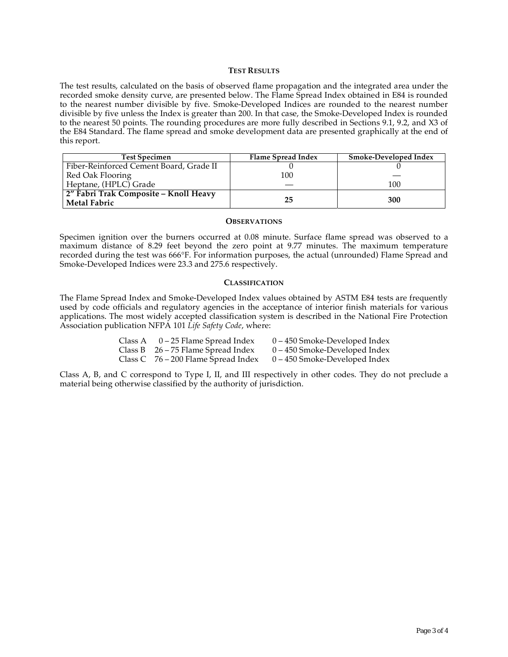## **TEST RESULTS**

The test results, calculated on the basis of observed flame propagation and the integrated area under the recorded smoke density curve, are presented below. The Flame Spread Index obtained in E84 is rounded to the nearest number divisible by five. Smoke-Developed Indices are rounded to the nearest number divisible by five unless the Index is greater than 200. In that case, the Smoke-Developed Index is rounded to the nearest 50 points. The rounding procedures are more fully described in Sections 9.1, 9.2, and X3 of the E84 Standard. The flame spread and smoke development data are presented graphically at the end of this report.

| <b>Test Specimen</b>                                         | Flame Spread Index | Smoke-Developed Index |
|--------------------------------------------------------------|--------------------|-----------------------|
| Fiber-Reinforced Cement Board, Grade II                      |                    |                       |
| Red Oak Flooring                                             | 100                |                       |
| Heptane, (HPLC) Grade                                        |                    | 100                   |
| 2" Fabri Trak Composite - Knoll Heavy<br><b>Metal Fabric</b> | 25                 | 300                   |

#### **OBSERVATIONS**

Specimen ignition over the burners occurred at 0.08 minute. Surface flame spread was observed to a maximum distance of 8.29 feet beyond the zero point at 9.77 minutes. The maximum temperature recorded during the test was 666°F. For information purposes, the actual (unrounded) Flame Spread and Smoke-Developed Indices were 23.3 and 275.6 respectively.

## **CLASSIFICATION**

The Flame Spread Index and Smoke-Developed Index values obtained by ASTM E84 tests are frequently used by code officials and regulatory agencies in the acceptance of interior finish materials for various applications. The most widely accepted classification system is described in the National Fire Protection Association publication NFPA 101 *Life Safety Code*, where:

| Class A | 0 – 25 Flame Spread Index             | 0 – 450 Smoke-Developed Index   |
|---------|---------------------------------------|---------------------------------|
|         | Class B $26 - 75$ Flame Spread Index  | $0 - 450$ Smoke-Developed Index |
|         | Class C $76 - 200$ Flame Spread Index | 0 – 450 Smoke-Developed Index   |

Class A, B, and C correspond to Type I, II, and III respectively in other codes. They do not preclude a material being otherwise classified by the authority of jurisdiction.